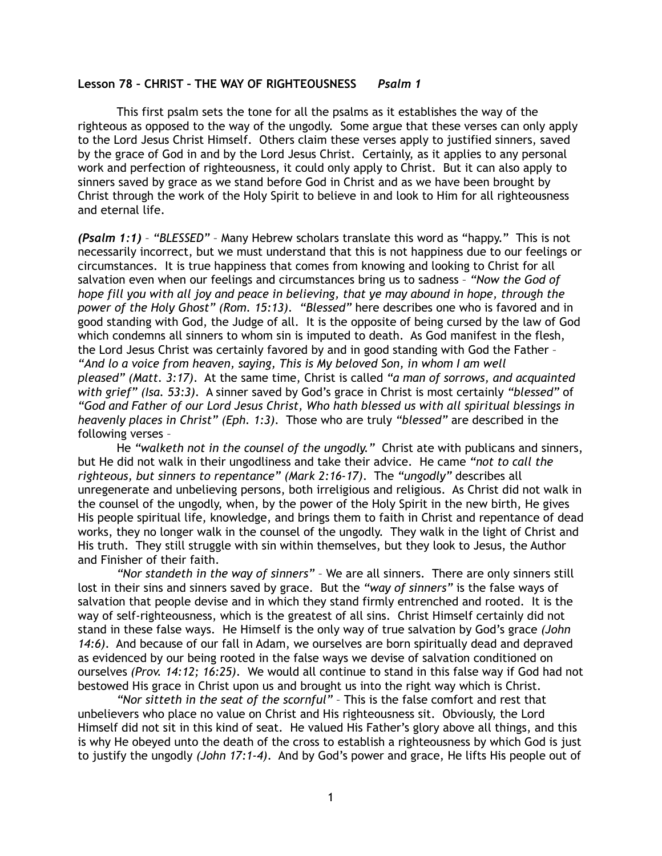## **Lesson 78 – CHRIST – THE WAY OF RIGHTEOUSNESS** *Psalm 1*

 This first psalm sets the tone for all the psalms as it establishes the way of the righteous as opposed to the way of the ungodly. Some argue that these verses can only apply to the Lord Jesus Christ Himself. Others claim these verses apply to justified sinners, saved by the grace of God in and by the Lord Jesus Christ. Certainly, as it applies to any personal work and perfection of righteousness, it could only apply to Christ. But it can also apply to sinners saved by grace as we stand before God in Christ and as we have been brought by Christ through the work of the Holy Spirit to believe in and look to Him for all righteousness and eternal life.

*(Psalm 1:1)* – *"BLESSED"* – Many Hebrew scholars translate this word as "happy." This is not necessarily incorrect, but we must understand that this is not happiness due to our feelings or circumstances. It is true happiness that comes from knowing and looking to Christ for all salvation even when our feelings and circumstances bring us to sadness – *"Now the God of hope fill you with all joy and peace in believing, that ye may abound in hope, through the power of the Holy Ghost" (Rom. 15:13)*. *"Blessed"* here describes one who is favored and in good standing with God, the Judge of all. It is the opposite of being cursed by the law of God which condemns all sinners to whom sin is imputed to death. As God manifest in the flesh, the Lord Jesus Christ was certainly favored by and in good standing with God the Father – *"And lo a voice from heaven, saying, This is My beloved Son, in whom I am well pleased" (Matt. 3:17)*. At the same time, Christ is called *"a man of sorrows, and acquainted with grief" (Isa. 53:3)*. A sinner saved by God's grace in Christ is most certainly *"blessed"* of *"God and Father of our Lord Jesus Christ, Who hath blessed us with all spiritual blessings in heavenly places in Christ" (Eph. 1:3)*. Those who are truly *"blessed"* are described in the following verses –

He *"walketh not in the counsel of the ungodly."* Christ ate with publicans and sinners, but He did not walk in their ungodliness and take their advice. He came *"not to call the righteous, but sinners to repentance" (Mark 2:16-17)*. The *"ungodly"* describes all unregenerate and unbelieving persons, both irreligious and religious. As Christ did not walk in the counsel of the ungodly, when, by the power of the Holy Spirit in the new birth, He gives His people spiritual life, knowledge, and brings them to faith in Christ and repentance of dead works, they no longer walk in the counsel of the ungodly. They walk in the light of Christ and His truth. They still struggle with sin within themselves, but they look to Jesus, the Author and Finisher of their faith.

*"Nor standeth in the way of sinners"* – We are all sinners. There are only sinners still lost in their sins and sinners saved by grace. But the *"way of sinners"* is the false ways of salvation that people devise and in which they stand firmly entrenched and rooted. It is the way of self-righteousness, which is the greatest of all sins. Christ Himself certainly did not stand in these false ways. He Himself is the only way of true salvation by God's grace *(John 14:6)*. And because of our fall in Adam, we ourselves are born spiritually dead and depraved as evidenced by our being rooted in the false ways we devise of salvation conditioned on ourselves *(Prov. 14:12; 16:25)*. We would all continue to stand in this false way if God had not bestowed His grace in Christ upon us and brought us into the right way which is Christ.

*"Nor sitteth in the seat of the scornful"* – This is the false comfort and rest that unbelievers who place no value on Christ and His righteousness sit. Obviously, the Lord Himself did not sit in this kind of seat. He valued His Father's glory above all things, and this is why He obeyed unto the death of the cross to establish a righteousness by which God is just to justify the ungodly *(John 17:1-4)*. And by God's power and grace, He lifts His people out of